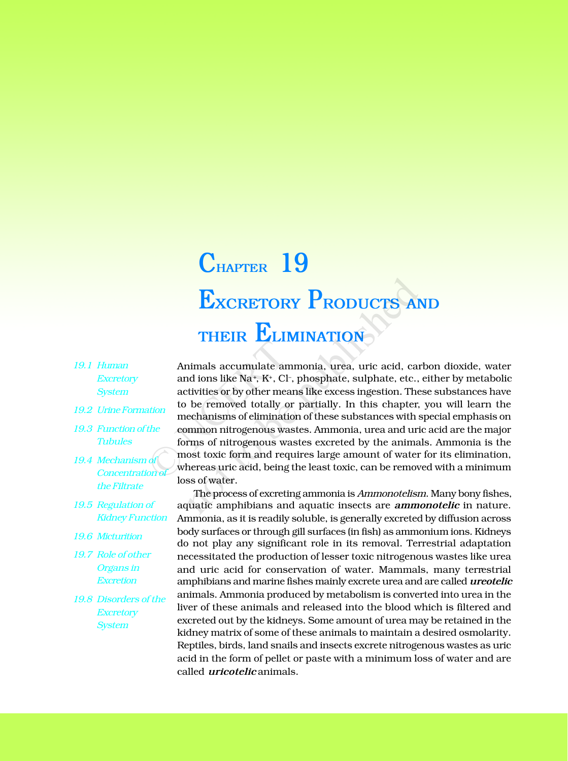## **EXCRETORY PRODUCTS AND THEIR ELIMINATION CHAPTER 19**

- *19.1 Human Excretory System*
- *19.2 Urine Formation*
- *19.3 Function of the Tubules*
- *19.4 Mechanism of Concentration of the Filtrate*
- *19.5 Regulation of Kidney Function*
- *19.6 Micturition*
- *19.7 Role of other Organs in Excretion*
- *19.8 Disorders of the Excretory System*

Animals accumulate ammonia, urea, uric acid, carbon dioxide, water and ions like Na+, K+, Cl-, phosphate, sulphate, etc., either by metabolic activities or by other means like excess ingestion. These substances have to be removed totally or partially. In this chapter, you will learn the mechanisms of elimination of these substances with special emphasis on common nitrogenous wastes. Ammonia, urea and uric acid are the major forms of nitrogenous wastes excreted by the animals. Ammonia is the most toxic form and requires large amount of water for its elimination, whereas uric acid, being the least toxic, can be removed with a minimum loss of water. Animals accumulate ami<br>
and ions like Na<sup>+</sup>, K<sup>+</sup>, Cl<sup>-</sup>,<br>
activities or by other mear<br>
to be removed totally or<br>
mechanisms of eliminatio<br>
the<br>
common nitrogenous was<br>
forms of nitrogenous was<br>
most toxic form and requ<br>
w **EXCRETORY PRODUCTS AI**<br> **THEIR ELIMINATION**<br>
nimals accumulate ammonia, urea, uric acid, can<br>
and ions like Na<sup>+</sup>, K<sup>+</sup>, Cl<sup>-</sup>, phosphate, sulphate, etc.,<br>
tivities or by other means like excess ingestion. The<br>
be remove

The process of excreting ammonia is *Ammonotelism*. Many bony fishes, aquatic amphibians and aquatic insects are *ammonotelic* in nature. Ammonia, as it is readily soluble, is generally excreted by diffusion across body surfaces or through gill surfaces (in fish) as ammonium ions. Kidneys do not play any significant role in its removal. Terrestrial adaptation necessitated the production of lesser toxic nitrogenous wastes like urea and uric acid for conservation of water. Mammals, many terrestrial amphibians and marine fishes mainly excrete urea and are called *ureotelic* animals. Ammonia produced by metabolism is converted into urea in the liver of these animals and released into the blood which is filtered and excreted out by the kidneys. Some amount of urea may be retained in the kidney matrix of some of these animals to maintain a desired osmolarity. Reptiles, birds, land snails and insects excrete nitrogenous wastes as uric acid in the form of pellet or paste with a minimum loss of water and are called *uricotelic* animals.